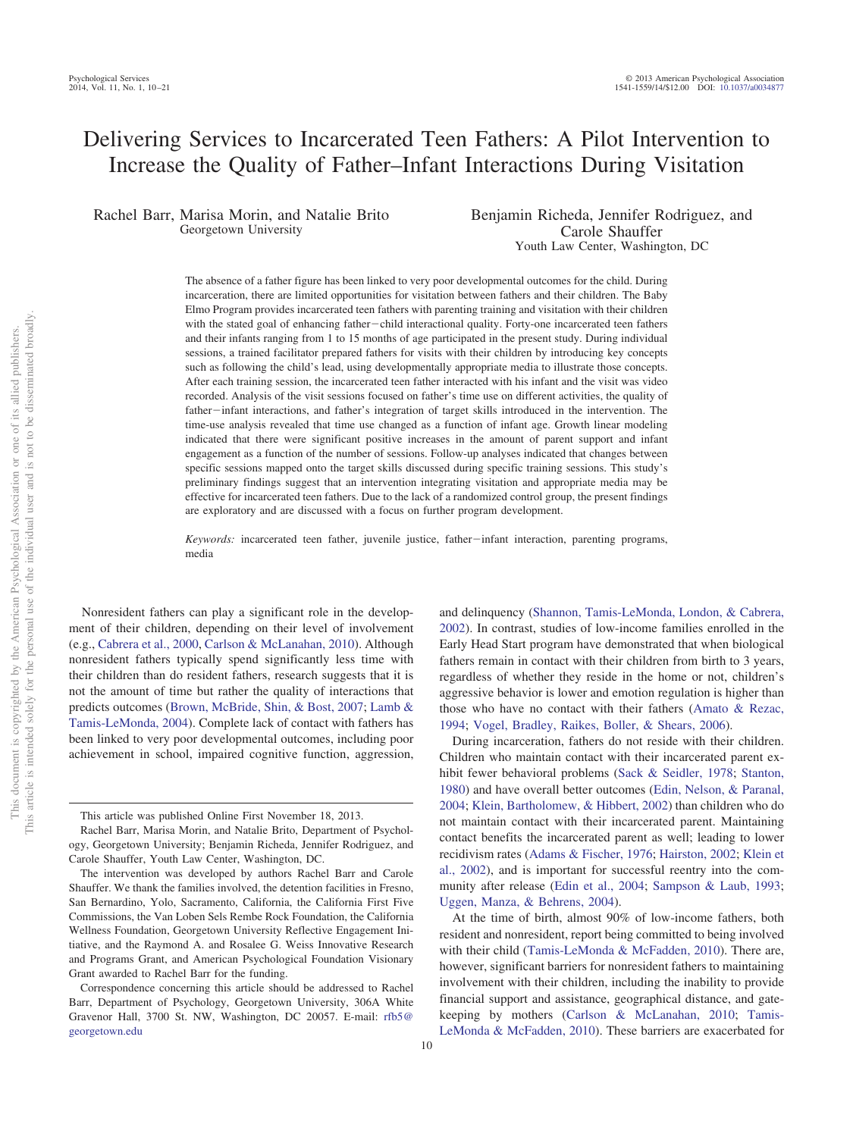# Delivering Services to Incarcerated Teen Fathers: A Pilot Intervention to Increase the Quality of Father–Infant Interactions During Visitation

Rachel Barr, Marisa Morin, and Natalie Brito Georgetown University

Benjamin Richeda, Jennifer Rodriguez, and Carole Shauffer Youth Law Center, Washington, DC

The absence of a father figure has been linked to very poor developmental outcomes for the child. During incarceration, there are limited opportunities for visitation between fathers and their children. The Baby Elmo Program provides incarcerated teen fathers with parenting training and visitation with their children with the stated goal of enhancing father-child interactional quality. Forty-one incarcerated teen fathers and their infants ranging from 1 to 15 months of age participated in the present study. During individual sessions, a trained facilitator prepared fathers for visits with their children by introducing key concepts such as following the child's lead, using developmentally appropriate media to illustrate those concepts. After each training session, the incarcerated teen father interacted with his infant and the visit was video recorded. Analysis of the visit sessions focused on father's time use on different activities, the quality of father-infant interactions, and father's integration of target skills introduced in the intervention. The time-use analysis revealed that time use changed as a function of infant age. Growth linear modeling indicated that there were significant positive increases in the amount of parent support and infant engagement as a function of the number of sessions. Follow-up analyses indicated that changes between specific sessions mapped onto the target skills discussed during specific training sessions. This study's preliminary findings suggest that an intervention integrating visitation and appropriate media may be effective for incarcerated teen fathers. Due to the lack of a randomized control group, the present findings are exploratory and are discussed with a focus on further program development.

*Keywords:* incarcerated teen father, juvenile justice, father-infant interaction, parenting programs, media

Nonresident fathers can play a significant role in the development of their children, depending on their level of involvement (e.g., [Cabrera et al., 2000,](#page-10-0) [Carlson & McLanahan, 2010\)](#page-10-1). Although nonresident fathers typically spend significantly less time with their children than do resident fathers, research suggests that it is not the amount of time but rather the quality of interactions that predicts outcomes [\(Brown, McBride, Shin, & Bost, 2007;](#page-10-2) [Lamb &](#page-10-3) [Tamis-LeMonda, 2004\)](#page-10-3). Complete lack of contact with fathers has been linked to very poor developmental outcomes, including poor achievement in school, impaired cognitive function, aggression,

and delinquency [\(Shannon, Tamis-LeMonda, London, & Cabrera,](#page-11-0) [2002\)](#page-11-0). In contrast, studies of low-income families enrolled in the Early Head Start program have demonstrated that when biological fathers remain in contact with their children from birth to 3 years, regardless of whether they reside in the home or not, children's aggressive behavior is lower and emotion regulation is higher than those who have no contact with their fathers [\(Amato & Rezac,](#page-9-0) [1994;](#page-9-0) [Vogel, Bradley, Raikes, Boller, & Shears, 2006\)](#page-11-1).

During incarceration, fathers do not reside with their children. Children who maintain contact with their incarcerated parent exhibit fewer behavioral problems [\(Sack & Seidler, 1978;](#page-11-2) [Stanton,](#page-11-3) [1980\)](#page-11-3) and have overall better outcomes [\(Edin, Nelson, & Paranal,](#page-10-4) [2004;](#page-10-4) [Klein, Bartholomew, & Hibbert, 2002\)](#page-10-5) than children who do not maintain contact with their incarcerated parent. Maintaining contact benefits the incarcerated parent as well; leading to lower recidivism rates [\(Adams & Fischer, 1976;](#page-9-1) [Hairston, 2002;](#page-10-6) [Klein et](#page-10-5) [al., 2002\)](#page-10-5), and is important for successful reentry into the community after release [\(Edin et al., 2004;](#page-10-4) [Sampson & Laub, 1993;](#page-11-4) [Uggen, Manza, & Behrens, 2004\)](#page-11-5).

At the time of birth, almost 90% of low-income fathers, both resident and nonresident, report being committed to being involved with their child [\(Tamis-LeMonda & McFadden, 2010\)](#page-11-6). There are, however, significant barriers for nonresident fathers to maintaining involvement with their children, including the inability to provide financial support and assistance, geographical distance, and gatekeeping by mothers [\(Carlson & McLanahan, 2010;](#page-10-1) [Tamis-](#page-11-6)[LeMonda & McFadden, 2010\)](#page-11-6). These barriers are exacerbated for

This article was published Online First November 18, 2013.

Rachel Barr, Marisa Morin, and Natalie Brito, Department of Psychology, Georgetown University; Benjamin Richeda, Jennifer Rodriguez, and Carole Shauffer, Youth Law Center, Washington, DC.

The intervention was developed by authors Rachel Barr and Carole Shauffer. We thank the families involved, the detention facilities in Fresno, San Bernardino, Yolo, Sacramento, California, the California First Five Commissions, the Van Loben Sels Rembe Rock Foundation, the California Wellness Foundation, Georgetown University Reflective Engagement Initiative, and the Raymond A. and Rosalee G. Weiss Innovative Research and Programs Grant, and American Psychological Foundation Visionary Grant awarded to Rachel Barr for the funding.

Correspondence concerning this article should be addressed to Rachel Barr, Department of Psychology, Georgetown University, 306A White Gravenor Hall, 3700 St. NW, Washington, DC 20057. E-mail: [rfb5@](mailto:rfb5@georgetown.edu) [georgetown.edu](mailto:rfb5@georgetown.edu)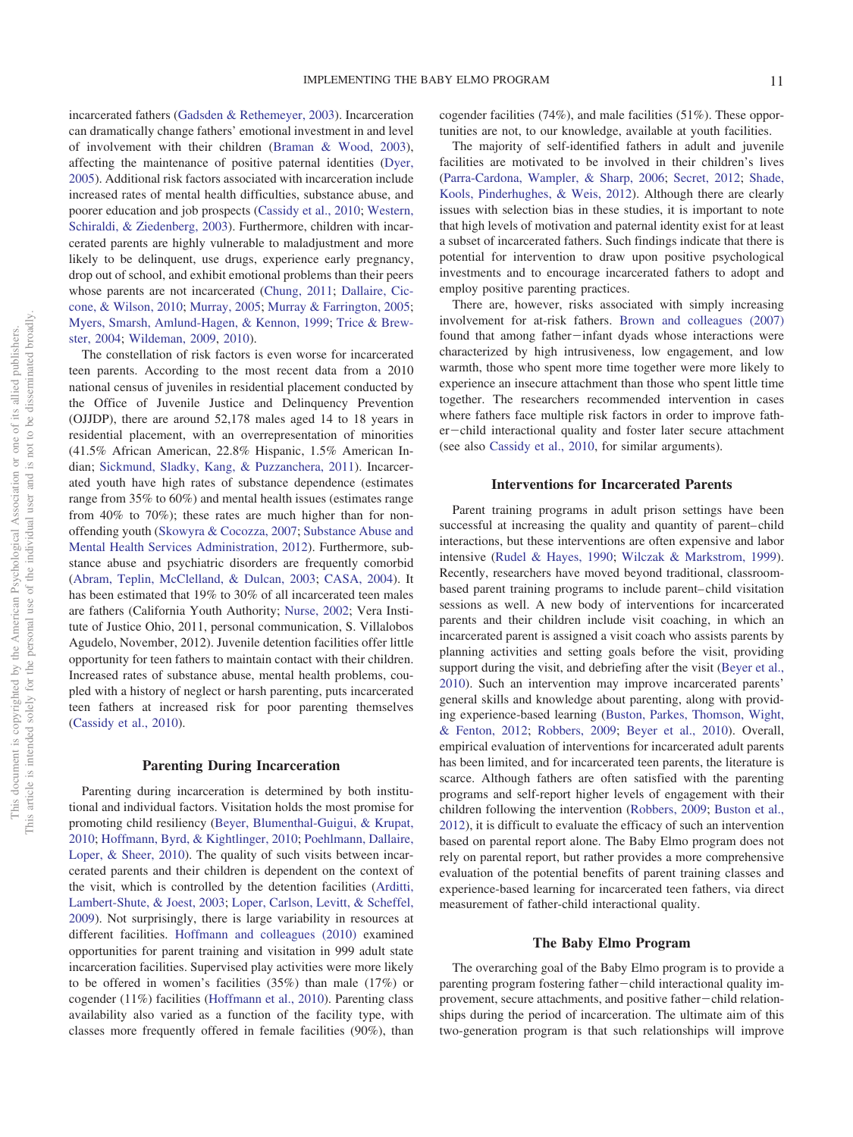incarcerated fathers [\(Gadsden & Rethemeyer, 2003\)](#page-10-7). Incarceration can dramatically change fathers' emotional investment in and level of involvement with their children [\(Braman & Wood, 2003\)](#page-10-8), affecting the maintenance of positive paternal identities [\(Dyer,](#page-10-9) [2005\)](#page-10-9). Additional risk factors associated with incarceration include increased rates of mental health difficulties, substance abuse, and poorer education and job prospects [\(Cassidy et al., 2010;](#page-10-10) [Western,](#page-11-7) [Schiraldi, & Ziedenberg, 2003\)](#page-11-7). Furthermore, children with incarcerated parents are highly vulnerable to maladjustment and more likely to be delinquent, use drugs, experience early pregnancy, drop out of school, and exhibit emotional problems than their peers whose parents are not incarcerated [\(Chung, 2011;](#page-10-11) [Dallaire, Cic](#page-10-12)[cone, & Wilson, 2010;](#page-10-12) [Murray, 2005;](#page-10-13) [Murray & Farrington, 2005;](#page-10-14) [Myers, Smarsh, Amlund-Hagen, & Kennon, 1999;](#page-10-15) [Trice & Brew](#page-11-8)[ster, 2004;](#page-11-8) [Wildeman, 2009,](#page-11-9) [2010\)](#page-11-10).

The constellation of risk factors is even worse for incarcerated teen parents. According to the most recent data from a 2010 national census of juveniles in residential placement conducted by the Office of Juvenile Justice and Delinquency Prevention (OJJDP), there are around 52,178 males aged 14 to 18 years in residential placement, with an overrepresentation of minorities (41.5% African American, 22.8% Hispanic, 1.5% American Indian; [Sickmund, Sladky, Kang, & Puzzanchera, 2011\)](#page-11-11). Incarcerated youth have high rates of substance dependence (estimates range from 35% to 60%) and mental health issues (estimates range from 40% to 70%); these rates are much higher than for nonoffending youth [\(Skowyra & Cocozza, 2007;](#page-11-12) [Substance Abuse and](#page-11-13) [Mental Health Services Administration, 2012\)](#page-11-13). Furthermore, substance abuse and psychiatric disorders are frequently comorbid [\(Abram, Teplin, McClelland, & Dulcan, 2003;](#page-9-2) [CASA, 2004\)](#page-10-16). It has been estimated that 19% to 30% of all incarcerated teen males are fathers (California Youth Authority; [Nurse, 2002;](#page-10-17) Vera Institute of Justice Ohio, 2011, personal communication, S. Villalobos Agudelo, November, 2012). Juvenile detention facilities offer little opportunity for teen fathers to maintain contact with their children. Increased rates of substance abuse, mental health problems, coupled with a history of neglect or harsh parenting, puts incarcerated teen fathers at increased risk for poor parenting themselves [\(Cassidy et al., 2010\)](#page-10-10).

## **Parenting During Incarceration**

Parenting during incarceration is determined by both institutional and individual factors. Visitation holds the most promise for promoting child resiliency [\(Beyer, Blumenthal-Guigui, & Krupat,](#page-10-18) [2010;](#page-10-18) [Hoffmann, Byrd, & Kightlinger, 2010;](#page-10-19) [Poehlmann, Dallaire,](#page-11-14) [Loper, & Sheer, 2010\)](#page-11-14). The quality of such visits between incarcerated parents and their children is dependent on the context of the visit, which is controlled by the detention facilities [\(Arditti,](#page-9-3) [Lambert-Shute, & Joest, 2003;](#page-9-3) [Loper, Carlson, Levitt, & Scheffel,](#page-10-20) [2009\)](#page-10-20). Not surprisingly, there is large variability in resources at different facilities. [Hoffmann and colleagues \(2010\)](#page-10-19) examined opportunities for parent training and visitation in 999 adult state incarceration facilities. Supervised play activities were more likely to be offered in women's facilities (35%) than male (17%) or cogender (11%) facilities [\(Hoffmann et al., 2010\)](#page-10-19). Parenting class availability also varied as a function of the facility type, with classes more frequently offered in female facilities (90%), than cogender facilities (74%), and male facilities (51%). These opportunities are not, to our knowledge, available at youth facilities.

The majority of self-identified fathers in adult and juvenile facilities are motivated to be involved in their children's lives [\(Parra-Cardona, Wampler, & Sharp, 2006;](#page-11-15) [Secret, 2012;](#page-11-16) [Shade,](#page-11-17) [Kools, Pinderhughes, & Weis, 2012\)](#page-11-17). Although there are clearly issues with selection bias in these studies, it is important to note that high levels of motivation and paternal identity exist for at least a subset of incarcerated fathers. Such findings indicate that there is potential for intervention to draw upon positive psychological investments and to encourage incarcerated fathers to adopt and employ positive parenting practices.

There are, however, risks associated with simply increasing involvement for at-risk fathers. [Brown and colleagues \(2007\)](#page-10-2) found that among father-infant dyads whose interactions were characterized by high intrusiveness, low engagement, and low warmth, those who spent more time together were more likely to experience an insecure attachment than those who spent little time together. The researchers recommended intervention in cases where fathers face multiple risk factors in order to improve fath $er$ -child interactional quality and foster later secure attachment (see also [Cassidy et al., 2010,](#page-10-10) for similar arguments).

## **Interventions for Incarcerated Parents**

Parent training programs in adult prison settings have been successful at increasing the quality and quantity of parent– child interactions, but these interventions are often expensive and labor intensive [\(Rudel & Hayes, 1990;](#page-11-18) [Wilczak & Markstrom, 1999\)](#page-11-19). Recently, researchers have moved beyond traditional, classroombased parent training programs to include parent– child visitation sessions as well. A new body of interventions for incarcerated parents and their children include visit coaching, in which an incarcerated parent is assigned a visit coach who assists parents by planning activities and setting goals before the visit, providing support during the visit, and debriefing after the visit [\(Beyer et al.,](#page-10-18) [2010\)](#page-10-18). Such an intervention may improve incarcerated parents' general skills and knowledge about parenting, along with providing experience-based learning [\(Buston, Parkes, Thomson, Wight,](#page-10-21) [& Fenton, 2012;](#page-10-21) [Robbers, 2009;](#page-11-20) [Beyer et al., 2010\)](#page-10-18). Overall, empirical evaluation of interventions for incarcerated adult parents has been limited, and for incarcerated teen parents, the literature is scarce. Although fathers are often satisfied with the parenting programs and self-report higher levels of engagement with their children following the intervention [\(Robbers, 2009;](#page-11-20) [Buston et al.,](#page-10-21) [2012\)](#page-10-21), it is difficult to evaluate the efficacy of such an intervention based on parental report alone. The Baby Elmo program does not rely on parental report, but rather provides a more comprehensive evaluation of the potential benefits of parent training classes and experience-based learning for incarcerated teen fathers, via direct measurement of father-child interactional quality.

#### **The Baby Elmo Program**

The overarching goal of the Baby Elmo program is to provide a parenting program fostering father-child interactional quality improvement, secure attachments, and positive father-child relationships during the period of incarceration. The ultimate aim of this two-generation program is that such relationships will improve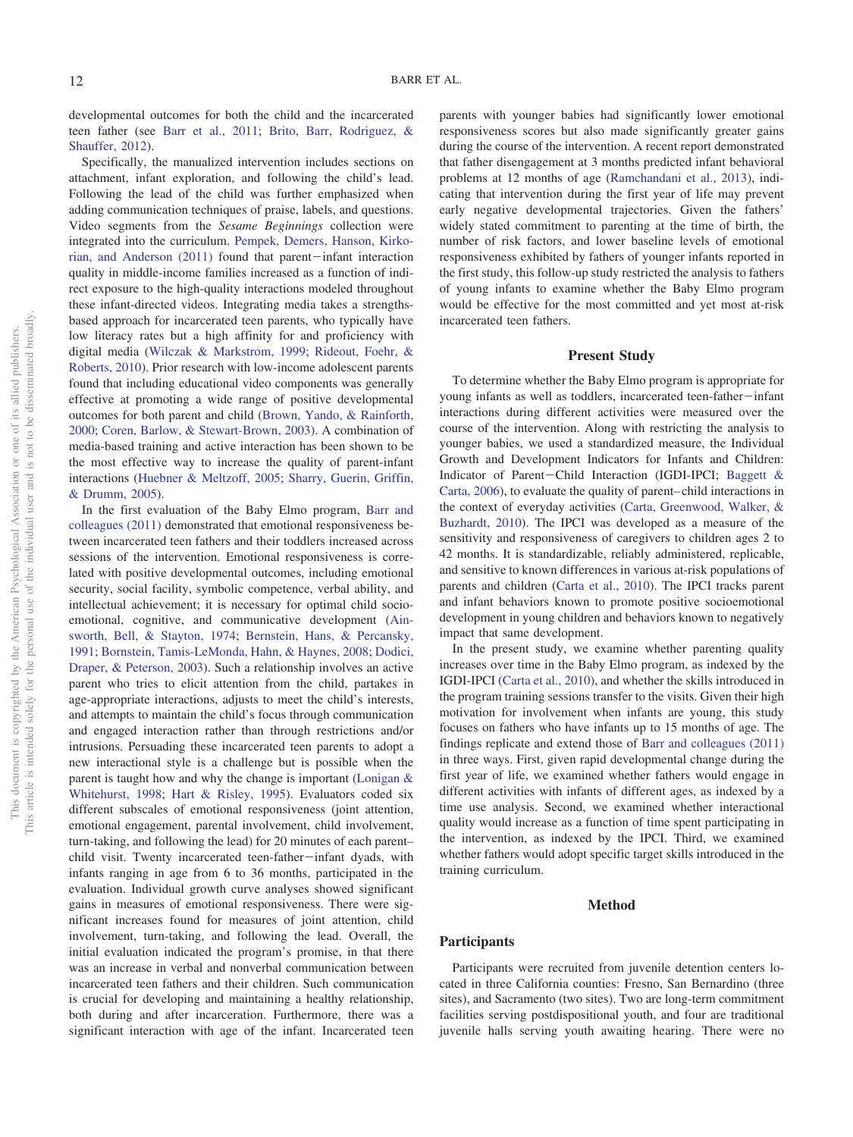developmental outcomes for both the child and the incarcerated teen father (see [Barr et al., 2011;](#page-9-4) [Brito, Barr, Rodriguez, &](#page-10-22) [Shauffer, 2012\)](#page-10-22).

Specifically, the manualized intervention includes sections on attachment, infant exploration, and following the child's lead. Following the lead of the child was further emphasized when adding communication techniques of praise, labels, and questions. Video segments from the *Sesame Beginnings* collection were integrated into the curriculum. [Pempek, Demers, Hanson, Kirko](#page-11-21)rian, and Anderson  $(2011)$  found that parent-infant interaction quality in middle-income families increased as a function of indirect exposure to the high-quality interactions modeled throughout these infant-directed videos. Integrating media takes a strengthsbased approach for incarcerated teen parents, who typically have low literacy rates but a high affinity for and proficiency with digital media [\(Wilczak & Markstrom, 1999;](#page-11-19) [Rideout, Foehr, &](#page-11-22) [Roberts, 2010\)](#page-11-22). Prior research with low-income adolescent parents found that including educational video components was generally effective at promoting a wide range of positive developmental outcomes for both parent and child [\(Brown, Yando, & Rainforth,](#page-10-23) [2000;](#page-10-23) [Coren, Barlow, & Stewart-Brown, 2003\)](#page-10-24). A combination of media-based training and active interaction has been shown to be the most effective way to increase the quality of parent-infant interactions [\(Huebner & Meltzoff, 2005;](#page-10-25) [Sharry, Guerin, Griffin,](#page-11-23) [& Drumm, 2005\)](#page-11-23).

In the first evaluation of the Baby Elmo program, [Barr and](#page-9-4) [colleagues \(2011\)](#page-9-4) demonstrated that emotional responsiveness between incarcerated teen fathers and their toddlers increased across sessions of the intervention. Emotional responsiveness is correlated with positive developmental outcomes, including emotional security, social facility, symbolic competence, verbal ability, and intellectual achievement; it is necessary for optimal child socioemotional, cognitive, and communicative development [\(Ain](#page-9-5)[sworth, Bell, & Stayton, 1974;](#page-9-5) [Bernstein, Hans, & Percansky,](#page-10-26) [1991;](#page-10-26) [Bornstein, Tamis-LeMonda, Hahn, & Haynes, 2008;](#page-10-27) [Dodici,](#page-10-28) [Draper, & Peterson, 2003\)](#page-10-28). Such a relationship involves an active parent who tries to elicit attention from the child, partakes in age-appropriate interactions, adjusts to meet the child's interests, and attempts to maintain the child's focus through communication and engaged interaction rather than through restrictions and/or intrusions. Persuading these incarcerated teen parents to adopt a new interactional style is a challenge but is possible when the parent is taught how and why the change is important [\(Lonigan &](#page-10-29) [Whitehurst, 1998;](#page-10-29) [Hart & Risley, 1995\)](#page-10-30). Evaluators coded six different subscales of emotional responsiveness (joint attention, emotional engagement, parental involvement, child involvement, turn-taking, and following the lead) for 20 minutes of each parent– child visit. Twenty incarcerated teen-father-infant dyads, with infants ranging in age from 6 to 36 months, participated in the evaluation. Individual growth curve analyses showed significant gains in measures of emotional responsiveness. There were significant increases found for measures of joint attention, child involvement, turn-taking, and following the lead. Overall, the initial evaluation indicated the program's promise, in that there was an increase in verbal and nonverbal communication between incarcerated teen fathers and their children. Such communication is crucial for developing and maintaining a healthy relationship, both during and after incarceration. Furthermore, there was a significant interaction with age of the infant. Incarcerated teen

parents with younger babies had significantly lower emotional responsiveness scores but also made significantly greater gains during the course of the intervention. A recent report demonstrated that father disengagement at 3 months predicted infant behavioral problems at 12 months of age [\(Ramchandani et al., 2013\)](#page-11-24), indicating that intervention during the first year of life may prevent early negative developmental trajectories. Given the fathers' widely stated commitment to parenting at the time of birth, the number of risk factors, and lower baseline levels of emotional responsiveness exhibited by fathers of younger infants reported in the first study, this follow-up study restricted the analysis to fathers of young infants to examine whether the Baby Elmo program would be effective for the most committed and yet most at-risk incarcerated teen fathers.

## **Present Study**

To determine whether the Baby Elmo program is appropriate for young infants as well as toddlers, incarcerated teen-father-infant interactions during different activities were measured over the course of the intervention. Along with restricting the analysis to younger babies, we used a standardized measure, the Individual Growth and Development Indicators for Infants and Children: Indicator of Parent-Child Interaction (IGDI-IPCI; [Baggett &](#page-9-6) [Carta, 2006\)](#page-9-6), to evaluate the quality of parent– child interactions in the context of everyday activities [\(Carta, Greenwood, Walker, &](#page-10-31) [Buzhardt, 2010\)](#page-10-31). The IPCI was developed as a measure of the sensitivity and responsiveness of caregivers to children ages 2 to 42 months. It is standardizable, reliably administered, replicable, and sensitive to known differences in various at-risk populations of parents and children [\(Carta et al., 2010\)](#page-10-31). The IPCI tracks parent and infant behaviors known to promote positive socioemotional development in young children and behaviors known to negatively impact that same development.

In the present study, we examine whether parenting quality increases over time in the Baby Elmo program, as indexed by the IGDI-IPCI [\(Carta et al., 2010\)](#page-10-31), and whether the skills introduced in the program training sessions transfer to the visits. Given their high motivation for involvement when infants are young, this study focuses on fathers who have infants up to 15 months of age. The findings replicate and extend those of [Barr and colleagues \(2011\)](#page-9-4) in three ways. First, given rapid developmental change during the first year of life, we examined whether fathers would engage in different activities with infants of different ages, as indexed by a time use analysis. Second, we examined whether interactional quality would increase as a function of time spent participating in the intervention, as indexed by the IPCI. Third, we examined whether fathers would adopt specific target skills introduced in the training curriculum.

#### **Method**

## **Participants**

Participants were recruited from juvenile detention centers located in three California counties: Fresno, San Bernardino (three sites), and Sacramento (two sites). Two are long-term commitment facilities serving postdispositional youth, and four are traditional juvenile halls serving youth awaiting hearing. There were no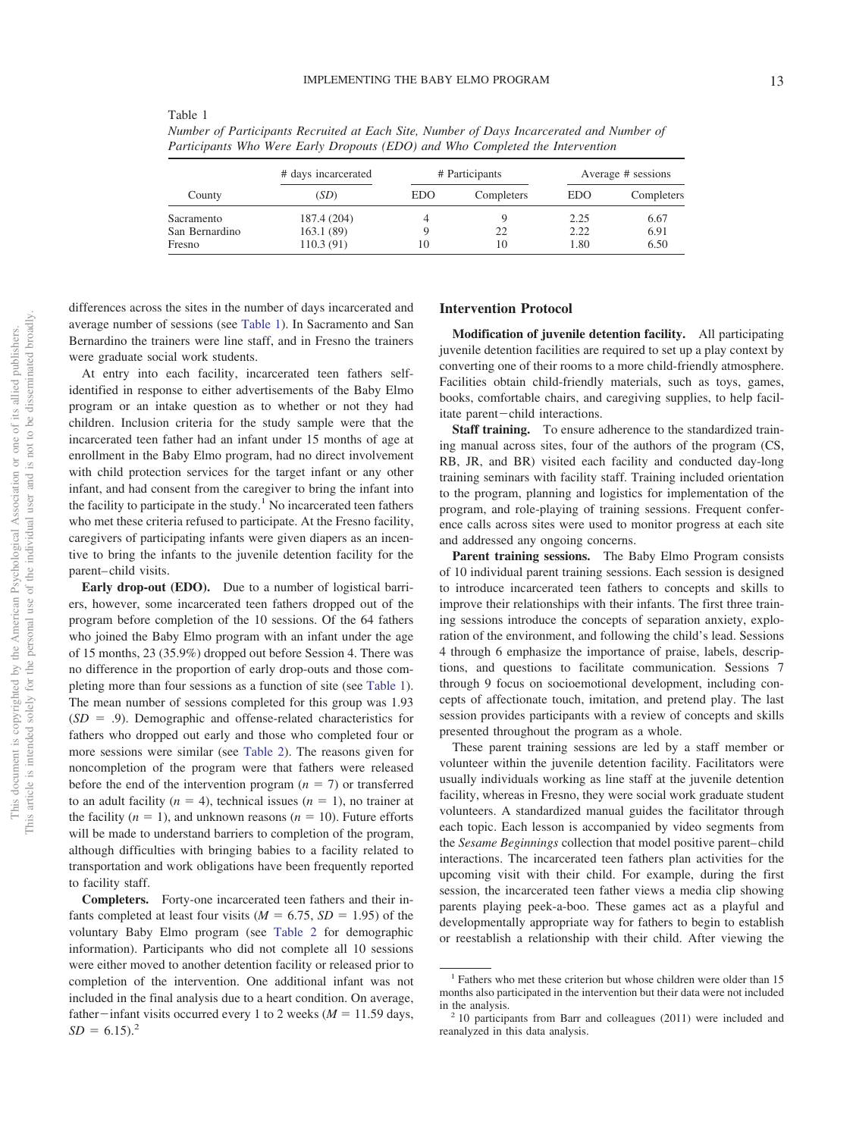|                | # days incarcerated | # Participants |            | Average # sessions |            |
|----------------|---------------------|----------------|------------|--------------------|------------|
| County         | (SD)                | <b>EDO</b>     | Completers | <b>EDO</b>         | Completers |
| Sacramento     | 187.4 (204)         |                |            | 2.25               | 6.67       |
| San Bernardino | 163.1(89)           |                | 22         | 2.22               | 6.91       |
| Fresno         | 110.3(91)           | 10             | 10         | 1.80               | 6.50       |

*Number of Participants Recruited at Each Site, Number of Days Incarcerated and Number of Participants Who Were Early Dropouts (EDO) and Who Completed the Intervention*

differences across the sites in the number of days incarcerated and average number of sessions (see [Table 1\)](#page-3-0). In Sacramento and San Bernardino the trainers were line staff, and in Fresno the trainers were graduate social work students.

<span id="page-3-0"></span>Table 1

At entry into each facility, incarcerated teen fathers selfidentified in response to either advertisements of the Baby Elmo program or an intake question as to whether or not they had children. Inclusion criteria for the study sample were that the incarcerated teen father had an infant under 15 months of age at enrollment in the Baby Elmo program, had no direct involvement with child protection services for the target infant or any other infant, and had consent from the caregiver to bring the infant into the facility to participate in the study.<sup>1</sup> No incarcerated teen fathers who met these criteria refused to participate. At the Fresno facility, caregivers of participating infants were given diapers as an incentive to bring the infants to the juvenile detention facility for the parent– child visits.

**Early drop-out (EDO).** Due to a number of logistical barriers, however, some incarcerated teen fathers dropped out of the program before completion of the 10 sessions. Of the 64 fathers who joined the Baby Elmo program with an infant under the age of 15 months, 23 (35.9%) dropped out before Session 4. There was no difference in the proportion of early drop-outs and those completing more than four sessions as a function of site (see [Table 1\)](#page-3-0). The mean number of sessions completed for this group was 1.93  $(SD = .9)$ . Demographic and offense-related characteristics for fathers who dropped out early and those who completed four or more sessions were similar (see [Table 2\)](#page-4-0). The reasons given for noncompletion of the program were that fathers were released before the end of the intervention program  $(n = 7)$  or transferred to an adult facility  $(n = 4)$ , technical issues  $(n = 1)$ , no trainer at the facility  $(n = 1)$ , and unknown reasons  $(n = 10)$ . Future efforts will be made to understand barriers to completion of the program, although difficulties with bringing babies to a facility related to transportation and work obligations have been frequently reported to facility staff.

**Completers.** Forty-one incarcerated teen fathers and their infants completed at least four visits  $(M = 6.75, SD = 1.95)$  of the voluntary Baby Elmo program (see [Table 2](#page-4-0) for demographic information). Participants who did not complete all 10 sessions were either moved to another detention facility or released prior to completion of the intervention. One additional infant was not included in the final analysis due to a heart condition. On average, father – infant visits occurred every 1 to 2 weeks ( $M = 11.59$  days,  $SD = 6.15$ .<sup>2</sup>

# **Intervention Protocol**

**Modification of juvenile detention facility.** All participating juvenile detention facilities are required to set up a play context by converting one of their rooms to a more child-friendly atmosphere. Facilities obtain child-friendly materials, such as toys, games, books, comfortable chairs, and caregiving supplies, to help facilitate parent-child interactions.

**Staff training.** To ensure adherence to the standardized training manual across sites, four of the authors of the program (CS, RB, JR, and BR) visited each facility and conducted day-long training seminars with facility staff. Training included orientation to the program, planning and logistics for implementation of the program, and role-playing of training sessions. Frequent conference calls across sites were used to monitor progress at each site and addressed any ongoing concerns.

**Parent training sessions.** The Baby Elmo Program consists of 10 individual parent training sessions. Each session is designed to introduce incarcerated teen fathers to concepts and skills to improve their relationships with their infants. The first three training sessions introduce the concepts of separation anxiety, exploration of the environment, and following the child's lead. Sessions 4 through 6 emphasize the importance of praise, labels, descriptions, and questions to facilitate communication. Sessions 7 through 9 focus on socioemotional development, including concepts of affectionate touch, imitation, and pretend play. The last session provides participants with a review of concepts and skills presented throughout the program as a whole.

These parent training sessions are led by a staff member or volunteer within the juvenile detention facility. Facilitators were usually individuals working as line staff at the juvenile detention facility, whereas in Fresno, they were social work graduate student volunteers. A standardized manual guides the facilitator through each topic. Each lesson is accompanied by video segments from the *Sesame Beginnings* collection that model positive parent– child interactions. The incarcerated teen fathers plan activities for the upcoming visit with their child. For example, during the first session, the incarcerated teen father views a media clip showing parents playing peek-a-boo. These games act as a playful and developmentally appropriate way for fathers to begin to establish or reestablish a relationship with their child. After viewing the

<sup>&</sup>lt;sup>1</sup> Fathers who met these criterion but whose children were older than 15 months also participated in the intervention but their data were not included in the analysis.<br><sup>2</sup> 10 participants from Barr and colleagues (2011) were included and

reanalyzed in this data analysis.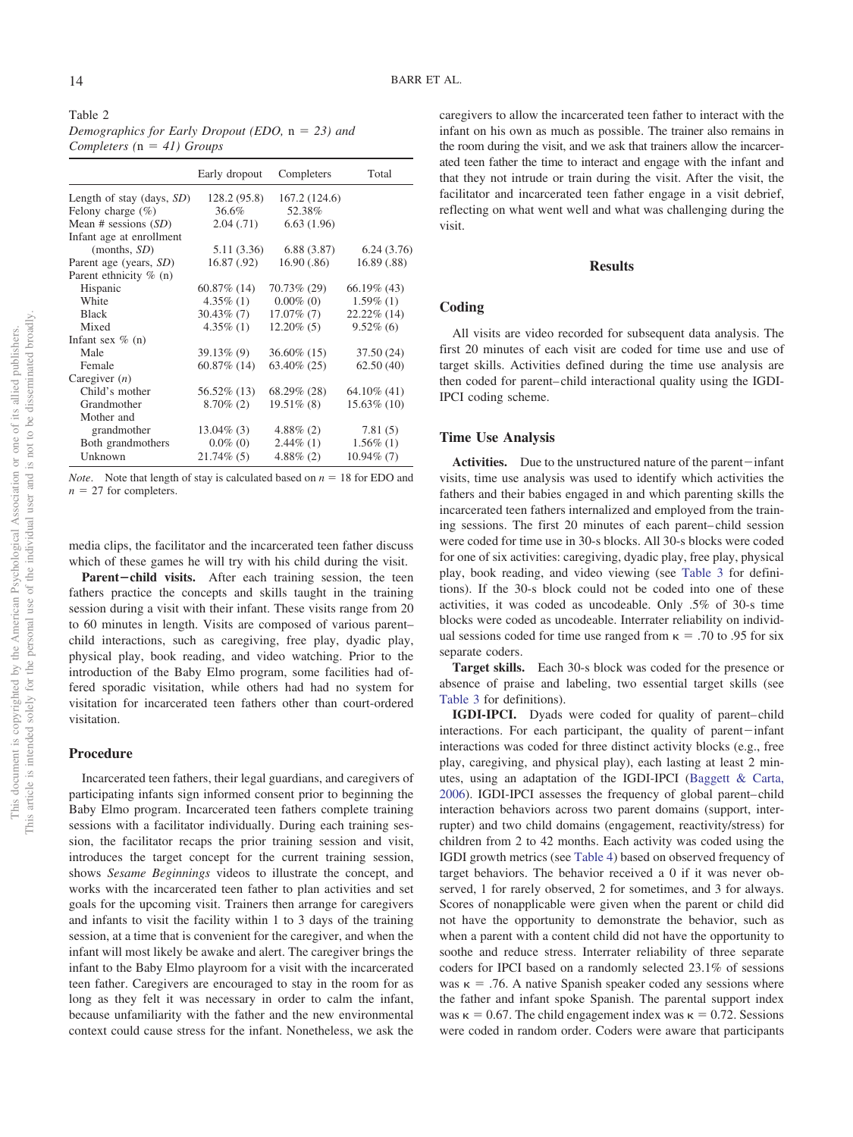<span id="page-4-0"></span>Table 2 *Demographics for Early Dropout (EDO, n = 23) and Completers (*n - *41) Groups*

|                           | Early dropout  | Completers     | Total         |
|---------------------------|----------------|----------------|---------------|
| Length of stay (days, SD) | 128.2 (95.8)   | 167.2 (124.6)  |               |
| Felony charge $(\% )$     | 36.6%          | 52.38%         |               |
| Mean # sessions $(SD)$    | 2.04(0.71)     | 6.63(1.96)     |               |
| Infant age at enrollment  |                |                |               |
| (months, SD)              | 5.11(3.36)     | 6.88(3.87)     | 6.24(3.76)    |
| Parent age (years, SD)    | 16.87 (.92)    | 16.90(.86)     | 16.89 (.88)   |
| Parent ethnicity % (n)    |                |                |               |
| Hispanic                  | $60.87\%$ (14) | 70.73\% (29)   | 66.19% (43)   |
| White                     | $4.35\%$ (1)   | $0.00\%$ (0)   | $1.59\%$ (1)  |
| <b>Black</b>              | $30.43\%$ (7)  | $17.07\%$ (7)  | 22.22% (14)   |
| Mixed                     | $4.35\%$ (1)   | $12.20\%$ (5)  | $9.52\%$ (6)  |
| Infant sex $\%$ (n)       |                |                |               |
| Male                      | $39.13\%$ (9)  | $36.60\%$ (15) | 37.50 (24)    |
| Female                    | $60.87\%$ (14) | 63.40% (25)    | 62.50(40)     |
| Caregiver $(n)$           |                |                |               |
| Child's mother            | 56.52\% (13)   | 68.29% (28)    | 64.10% (41)   |
| Grandmother               | $8.70\%$ (2)   | $19.51\%$ (8)  | 15.63% (10)   |
| Mother and                |                |                |               |
| grandmother               | $13.04\%$ (3)  | $4.88\%$ (2)   | 7.81(5)       |
| Both grandmothers         | $0.0\%$ (0)    | $2.44\%$ (1)   | $1.56\%$ (1)  |
| Unknown                   | $21.74\%$ (5)  | $4.88\%$ (2)   | $10.94\%$ (7) |

*Note*. Note that length of stay is calculated based on  $n = 18$  for EDO and  $n = 27$  for completers.

media clips, the facilitator and the incarcerated teen father discuss which of these games he will try with his child during the visit.

Parent-child visits. After each training session, the teen fathers practice the concepts and skills taught in the training session during a visit with their infant. These visits range from 20 to 60 minutes in length. Visits are composed of various parent– child interactions, such as caregiving, free play, dyadic play, physical play, book reading, and video watching. Prior to the introduction of the Baby Elmo program, some facilities had offered sporadic visitation, while others had had no system for visitation for incarcerated teen fathers other than court-ordered visitation.

#### **Procedure**

Incarcerated teen fathers, their legal guardians, and caregivers of participating infants sign informed consent prior to beginning the Baby Elmo program. Incarcerated teen fathers complete training sessions with a facilitator individually. During each training session, the facilitator recaps the prior training session and visit, introduces the target concept for the current training session, shows *Sesame Beginnings* videos to illustrate the concept, and works with the incarcerated teen father to plan activities and set goals for the upcoming visit. Trainers then arrange for caregivers and infants to visit the facility within 1 to 3 days of the training session, at a time that is convenient for the caregiver, and when the infant will most likely be awake and alert. The caregiver brings the infant to the Baby Elmo playroom for a visit with the incarcerated teen father. Caregivers are encouraged to stay in the room for as long as they felt it was necessary in order to calm the infant, because unfamiliarity with the father and the new environmental context could cause stress for the infant. Nonetheless, we ask the caregivers to allow the incarcerated teen father to interact with the infant on his own as much as possible. The trainer also remains in the room during the visit, and we ask that trainers allow the incarcerated teen father the time to interact and engage with the infant and that they not intrude or train during the visit. After the visit, the facilitator and incarcerated teen father engage in a visit debrief, reflecting on what went well and what was challenging during the visit.

## **Results**

## **Coding**

All visits are video recorded for subsequent data analysis. The first 20 minutes of each visit are coded for time use and use of target skills. Activities defined during the time use analysis are then coded for parent– child interactional quality using the IGDI-IPCI coding scheme.

#### **Time Use Analysis**

**Activities.** Due to the unstructured nature of the parent-infant visits, time use analysis was used to identify which activities the fathers and their babies engaged in and which parenting skills the incarcerated teen fathers internalized and employed from the training sessions. The first 20 minutes of each parent– child session were coded for time use in 30-s blocks. All 30-s blocks were coded for one of six activities: caregiving, dyadic play, free play, physical play, book reading, and video viewing (see [Table 3](#page-5-0) for definitions). If the 30-s block could not be coded into one of these activities, it was coded as uncodeable. Only .5% of 30-s time blocks were coded as uncodeable. Interrater reliability on individual sessions coded for time use ranged from  $\kappa = .70$  to .95 for six separate coders.

**Target skills.** Each 30-s block was coded for the presence or absence of praise and labeling, two essential target skills (see [Table 3](#page-5-0) for definitions).

**IGDI-IPCI.** Dyads were coded for quality of parent–child  $interactions.$  For each participant, the quality of parent-infant interactions was coded for three distinct activity blocks (e.g., free play, caregiving, and physical play), each lasting at least 2 minutes, using an adaptation of the IGDI-IPCI [\(Baggett & Carta,](#page-9-6) [2006\)](#page-9-6). IGDI-IPCI assesses the frequency of global parent– child interaction behaviors across two parent domains (support, interrupter) and two child domains (engagement, reactivity/stress) for children from 2 to 42 months. Each activity was coded using the IGDI growth metrics (see [Table 4\)](#page-5-1) based on observed frequency of target behaviors. The behavior received a 0 if it was never observed, 1 for rarely observed, 2 for sometimes, and 3 for always. Scores of nonapplicable were given when the parent or child did not have the opportunity to demonstrate the behavior, such as when a parent with a content child did not have the opportunity to soothe and reduce stress. Interrater reliability of three separate coders for IPCI based on a randomly selected 23.1% of sessions was  $\kappa = .76$ . A native Spanish speaker coded any sessions where the father and infant spoke Spanish. The parental support index was  $\kappa = 0.67$ . The child engagement index was  $\kappa = 0.72$ . Sessions were coded in random order. Coders were aware that participants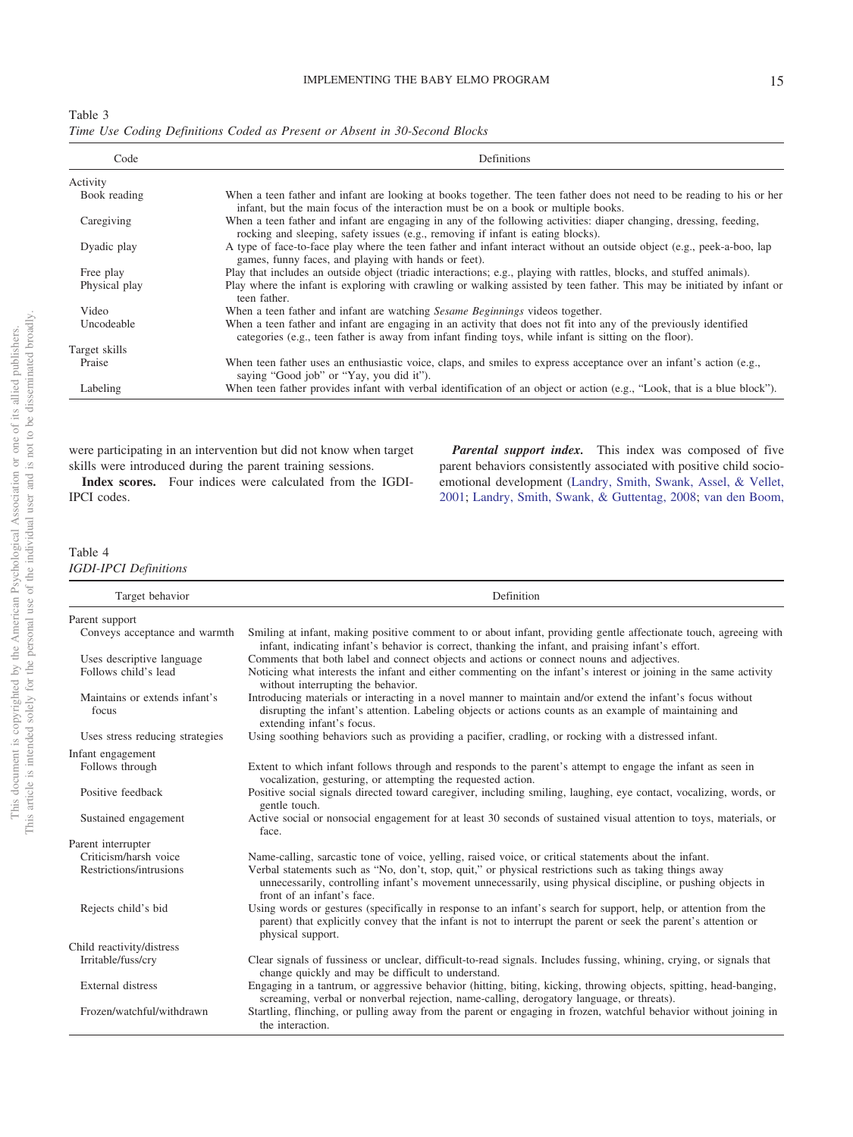<span id="page-5-0"></span>

| Code          | Definitions                                                                                                                                                                                                                 |  |  |  |
|---------------|-----------------------------------------------------------------------------------------------------------------------------------------------------------------------------------------------------------------------------|--|--|--|
| Activity      |                                                                                                                                                                                                                             |  |  |  |
| Book reading  | When a teen father and infant are looking at books together. The teen father does not need to be reading to his or her<br>infant, but the main focus of the interaction must be on a book or multiple books.                |  |  |  |
| Caregiving    | When a teen father and infant are engaging in any of the following activities: diaper changing, dressing, feeding,<br>rocking and sleeping, safety issues (e.g., removing if infant is eating blocks).                      |  |  |  |
| Dyadic play   | A type of face-to-face play where the teen father and infant interact without an outside object (e.g., peek-a-boo, lap<br>games, funny faces, and playing with hands or feet).                                              |  |  |  |
| Free play     | Play that includes an outside object (triadic interactions; e.g., playing with rattles, blocks, and stuffed animals).                                                                                                       |  |  |  |
| Physical play | Play where the infant is exploring with crawling or walking assisted by teen father. This may be initiated by infant or<br>teen father.                                                                                     |  |  |  |
| Video         | When a teen father and infant are watching <i>Sesame Beginnings</i> videos together.                                                                                                                                        |  |  |  |
| Uncodeable    | When a teen father and infant are engaging in an activity that does not fit into any of the previously identified<br>categories (e.g., teen father is away from infant finding toys, while infant is sitting on the floor). |  |  |  |
| Target skills |                                                                                                                                                                                                                             |  |  |  |
| Praise        | When teen father uses an enthusiastic voice, claps, and smiles to express acceptance over an infant's action (e.g.,<br>saying "Good job" or "Yay, you did it").                                                             |  |  |  |
| Labeling      | When teen father provides infant with verbal identification of an object or action (e.g., "Look, that is a blue block").                                                                                                    |  |  |  |

were participating in an intervention but did not know when target skills were introduced during the parent training sessions.

**Index scores.** Four indices were calculated from the IGDI-IPCI codes.

*Parental support index.* This index was composed of five parent behaviors consistently associated with positive child socioemotional development [\(Landry, Smith, Swank, Assel, & Vellet,](#page-10-32) [2001;](#page-10-32) [Landry, Smith, Swank, & Guttentag, 2008;](#page-10-33) [van den Boom,](#page-11-25)

## <span id="page-5-1"></span>Table 4 *IGDI-IPCI Definitions*

| Target behavior                        | Definition                                                                                                                                                                                                                                               |  |  |  |
|----------------------------------------|----------------------------------------------------------------------------------------------------------------------------------------------------------------------------------------------------------------------------------------------------------|--|--|--|
| Parent support                         |                                                                                                                                                                                                                                                          |  |  |  |
| Conveys acceptance and warmth          | Smiling at infant, making positive comment to or about infant, providing gentle affectionate touch, agreeing with<br>infant, indicating infant's behavior is correct, thanking the infant, and praising infant's effort.                                 |  |  |  |
| Uses descriptive language              | Comments that both label and connect objects and actions or connect nouns and adjectives.                                                                                                                                                                |  |  |  |
| Follows child's lead                   | Noticing what interests the infant and either commenting on the infant's interest or joining in the same activity<br>without interrupting the behavior.                                                                                                  |  |  |  |
| Maintains or extends infant's<br>focus | Introducing materials or interacting in a novel manner to maintain and/or extend the infant's focus without<br>disrupting the infant's attention. Labeling objects or actions counts as an example of maintaining and<br>extending infant's focus.       |  |  |  |
| Uses stress reducing strategies        | Using soothing behaviors such as providing a pacifier, cradling, or rocking with a distressed infant.                                                                                                                                                    |  |  |  |
| Infant engagement                      |                                                                                                                                                                                                                                                          |  |  |  |
| Follows through                        | Extent to which infant follows through and responds to the parent's attempt to engage the infant as seen in<br>vocalization, gesturing, or attempting the requested action.                                                                              |  |  |  |
| Positive feedback                      | Positive social signals directed toward caregiver, including smiling, laughing, eye contact, vocalizing, words, or<br>gentle touch.                                                                                                                      |  |  |  |
| Sustained engagement                   | Active social or nonsocial engagement for at least 30 seconds of sustained visual attention to toys, materials, or<br>face.                                                                                                                              |  |  |  |
| Parent interrupter                     |                                                                                                                                                                                                                                                          |  |  |  |
| Criticism/harsh voice                  | Name-calling, sarcastic tone of voice, yelling, raised voice, or critical statements about the infant.                                                                                                                                                   |  |  |  |
| Restrictions/intrusions                | Verbal statements such as "No, don't, stop, quit," or physical restrictions such as taking things away<br>unnecessarily, controlling infant's movement unnecessarily, using physical discipline, or pushing objects in<br>front of an infant's face.     |  |  |  |
| Rejects child's bid                    | Using words or gestures (specifically in response to an infant's search for support, help, or attention from the<br>parent) that explicitly convey that the infant is not to interrupt the parent or seek the parent's attention or<br>physical support. |  |  |  |
| Child reactivity/distress              |                                                                                                                                                                                                                                                          |  |  |  |
| Irritable/fuss/cry                     | Clear signals of fussiness or unclear, difficult-to-read signals. Includes fussing, whining, crying, or signals that<br>change quickly and may be difficult to understand.                                                                               |  |  |  |
| External distress                      | Engaging in a tantrum, or aggressive behavior (hitting, biting, kicking, throwing objects, spitting, head-banging,<br>screaming, verbal or nonverbal rejection, name-calling, derogatory language, or threats).                                          |  |  |  |
| Frozen/watchful/withdrawn              | Startling, flinching, or pulling away from the parent or engaging in frozen, watchful behavior without joining in<br>the interaction.                                                                                                                    |  |  |  |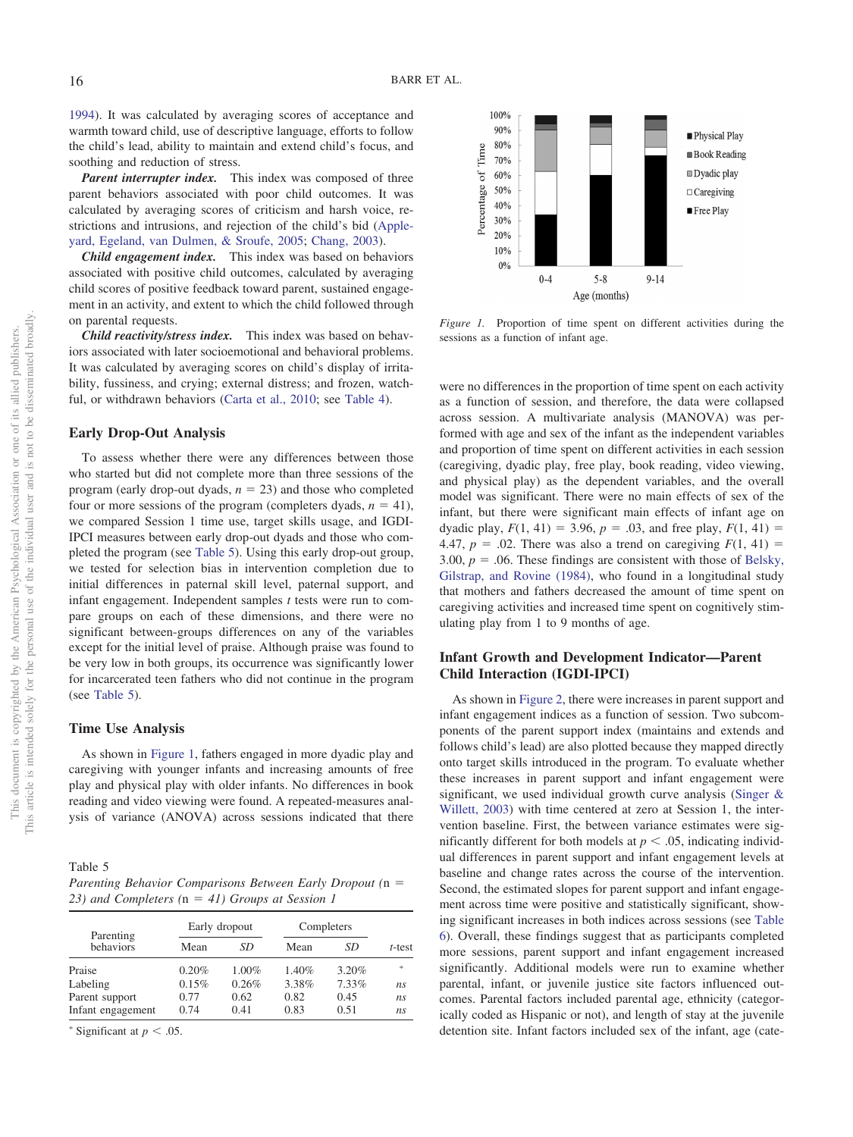[1994\)](#page-11-25). It was calculated by averaging scores of acceptance and warmth toward child, use of descriptive language, efforts to follow the child's lead, ability to maintain and extend child's focus, and soothing and reduction of stress.

*Parent interrupter index.* This index was composed of three parent behaviors associated with poor child outcomes. It was calculated by averaging scores of criticism and harsh voice, restrictions and intrusions, and rejection of the child's bid [\(Apple](#page-9-7)[yard, Egeland, van Dulmen, & Sroufe, 2005;](#page-9-7) [Chang, 2003\)](#page-10-34).

*Child engagement index.* This index was based on behaviors associated with positive child outcomes, calculated by averaging child scores of positive feedback toward parent, sustained engagement in an activity, and extent to which the child followed through on parental requests.

*Child reactivity/stress index.* This index was based on behaviors associated with later socioemotional and behavioral problems. It was calculated by averaging scores on child's display of irritability, fussiness, and crying; external distress; and frozen, watchful, or withdrawn behaviors [\(Carta et al., 2010;](#page-10-31) see [Table 4\)](#page-5-1).

## **Early Drop-Out Analysis**

To assess whether there were any differences between those who started but did not complete more than three sessions of the program (early drop-out dyads,  $n = 23$ ) and those who completed four or more sessions of the program (completers dyads,  $n = 41$ ), we compared Session 1 time use, target skills usage, and IGDI-IPCI measures between early drop-out dyads and those who completed the program (see [Table 5\)](#page-6-0). Using this early drop-out group, we tested for selection bias in intervention completion due to initial differences in paternal skill level, paternal support, and infant engagement. Independent samples *t* tests were run to compare groups on each of these dimensions, and there were no significant between-groups differences on any of the variables except for the initial level of praise. Although praise was found to be very low in both groups, its occurrence was significantly lower for incarcerated teen fathers who did not continue in the program (see [Table 5\)](#page-6-0).

## **Time Use Analysis**

As shown in [Figure 1,](#page-6-1) fathers engaged in more dyadic play and caregiving with younger infants and increasing amounts of free play and physical play with older infants. No differences in book reading and video viewing were found. A repeated-measures analysis of variance (ANOVA) across sessions indicated that there

<span id="page-6-0"></span>Table 5 *Parenting Behavior Comparisons Between Early Dropout* (n = 23) and Completers ( $n = 41$ ) Groups at Session 1

| Parenting         | Early dropout |          | Completers |       |           |  |
|-------------------|---------------|----------|------------|-------|-----------|--|
| behaviors         | Mean          | SD       | Mean       | SD    | $t$ -test |  |
| Praise            | 0.20%         | $1.00\%$ | 1.40%      | 3.20% | 冰         |  |
| Labeling          | 0.15%         | 0.26%    | 3.38%      | 7.33% | ns        |  |
| Parent support    | 0.77          | 0.62     | 0.82       | 0.45  | ns        |  |
| Infant engagement | 0.74          | 0.41     | 0.83       | 0.51  | ns        |  |

Significant at  $p < .05$ .

100% 90% Physical Play 80% Percentage of Time **Book Reading** 70% Dyadic play 60% 50%  $\Box$  Caregiving 40% Free Play 30% 20%  $10%$  $0%$  $0 - 4$  $5 - 8$  $9 - 14$ Age (months)

<span id="page-6-1"></span>*Figure 1.* Proportion of time spent on different activities during the sessions as a function of infant age.

were no differences in the proportion of time spent on each activity as a function of session, and therefore, the data were collapsed across session. A multivariate analysis (MANOVA) was performed with age and sex of the infant as the independent variables and proportion of time spent on different activities in each session (caregiving, dyadic play, free play, book reading, video viewing, and physical play) as the dependent variables, and the overall model was significant. There were no main effects of sex of the infant, but there were significant main effects of infant age on dyadic play,  $F(1, 41) = 3.96$ ,  $p = .03$ , and free play,  $F(1, 41) =$ 4.47,  $p = 0.02$ . There was also a trend on caregiving  $F(1, 41) =$ 3.00,  $p = 0.06$ . These findings are consistent with those of [Belsky,](#page-9-8) [Gilstrap, and Rovine \(1984\),](#page-9-8) who found in a longitudinal study that mothers and fathers decreased the amount of time spent on caregiving activities and increased time spent on cognitively stimulating play from 1 to 9 months of age.

# **Infant Growth and Development Indicator—Parent Child Interaction (IGDI-IPCI)**

As shown in [Figure 2,](#page-7-0) there were increases in parent support and infant engagement indices as a function of session. Two subcomponents of the parent support index (maintains and extends and follows child's lead) are also plotted because they mapped directly onto target skills introduced in the program. To evaluate whether these increases in parent support and infant engagement were significant, we used individual growth curve analysis [\(Singer &](#page-11-26) [Willett, 2003\)](#page-11-26) with time centered at zero at Session 1, the intervention baseline. First, the between variance estimates were significantly different for both models at  $p < .05$ , indicating individual differences in parent support and infant engagement levels at baseline and change rates across the course of the intervention. Second, the estimated slopes for parent support and infant engagement across time were positive and statistically significant, showing significant increases in both indices across sessions (see [Table](#page-7-1) [6\)](#page-7-1). Overall, these findings suggest that as participants completed more sessions, parent support and infant engagement increased significantly. Additional models were run to examine whether parental, infant, or juvenile justice site factors influenced outcomes. Parental factors included parental age, ethnicity (categorically coded as Hispanic or not), and length of stay at the juvenile detention site. Infant factors included sex of the infant, age (cate-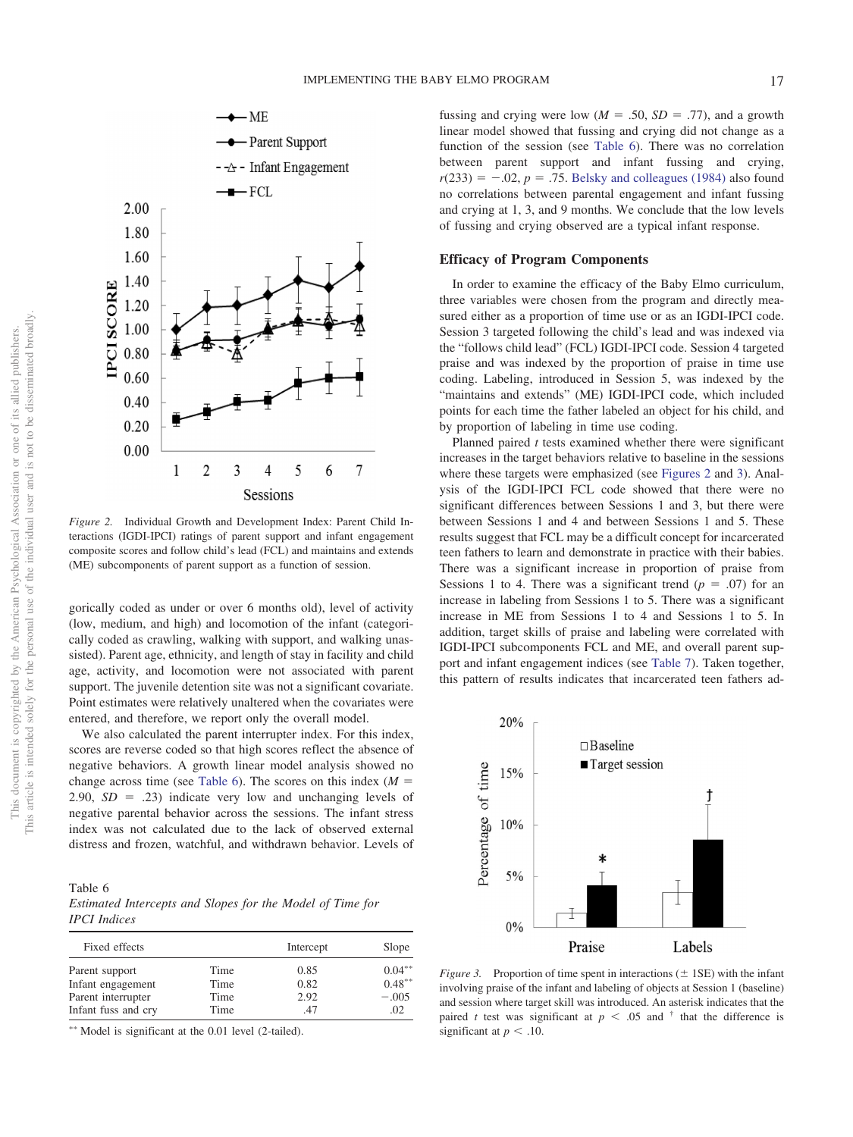



<span id="page-7-0"></span>*Figure 2.* Individual Growth and Development Index: Parent Child Interactions (IGDI-IPCI) ratings of parent support and infant engagement composite scores and follow child's lead (FCL) and maintains and extends (ME) subcomponents of parent support as a function of session.

gorically coded as under or over 6 months old), level of activity (low, medium, and high) and locomotion of the infant (categorically coded as crawling, walking with support, and walking unassisted). Parent age, ethnicity, and length of stay in facility and child age, activity, and locomotion were not associated with parent support. The juvenile detention site was not a significant covariate. Point estimates were relatively unaltered when the covariates were entered, and therefore, we report only the overall model.

We also calculated the parent interrupter index. For this index, scores are reverse coded so that high scores reflect the absence of negative behaviors. A growth linear model analysis showed no change across time (see [Table 6\)](#page-7-1). The scores on this index  $(M =$  $2.90, SD = .23$ ) indicate very low and unchanging levels of negative parental behavior across the sessions. The infant stress index was not calculated due to the lack of observed external distress and frozen, watchful, and withdrawn behavior. Levels of

<span id="page-7-1"></span>Table 6 *Estimated Intercepts and Slopes for the Model of Time for IPCI Indices*

| Fixed effects       |      | Intercept | Slope     |  |
|---------------------|------|-----------|-----------|--|
| Parent support      | Time | 0.85      | $0.04***$ |  |
| Infant engagement   | Time | 0.82      | $0.48***$ |  |
| Parent interrupter  | Time | 2.92      | $-.005$   |  |
| Infant fuss and cry | Time | .47       | .02       |  |

Model is significant at the 0.01 level (2-tailed).

fussing and crying were low  $(M = .50, SD = .77)$ , and a growth linear model showed that fussing and crying did not change as a function of the session (see [Table 6\)](#page-7-1). There was no correlation between parent support and infant fussing and crying,  $r(233) = -.02$ ,  $p = .75$ . [Belsky and colleagues \(1984\)](#page-9-8) also found no correlations between parental engagement and infant fussing and crying at 1, 3, and 9 months. We conclude that the low levels of fussing and crying observed are a typical infant response.

## **Efficacy of Program Components**

In order to examine the efficacy of the Baby Elmo curriculum, three variables were chosen from the program and directly measured either as a proportion of time use or as an IGDI-IPCI code. Session 3 targeted following the child's lead and was indexed via the "follows child lead" (FCL) IGDI-IPCI code. Session 4 targeted praise and was indexed by the proportion of praise in time use coding. Labeling, introduced in Session 5, was indexed by the "maintains and extends" (ME) IGDI-IPCI code, which included points for each time the father labeled an object for his child, and by proportion of labeling in time use coding.

Planned paired *t* tests examined whether there were significant increases in the target behaviors relative to baseline in the sessions where these targets were emphasized (see [Figures 2](#page-7-0) and [3\)](#page-7-2). Analysis of the IGDI-IPCI FCL code showed that there were no significant differences between Sessions 1 and 3, but there were between Sessions 1 and 4 and between Sessions 1 and 5. These results suggest that FCL may be a difficult concept for incarcerated teen fathers to learn and demonstrate in practice with their babies. There was a significant increase in proportion of praise from Sessions 1 to 4. There was a significant trend  $(p = .07)$  for an increase in labeling from Sessions 1 to 5. There was a significant increase in ME from Sessions 1 to 4 and Sessions 1 to 5. In addition, target skills of praise and labeling were correlated with IGDI-IPCI subcomponents FCL and ME, and overall parent support and infant engagement indices (see [Table 7\)](#page-8-0). Taken together, this pattern of results indicates that incarcerated teen fathers ad-



<span id="page-7-2"></span>*Figure 3.* Proportion of time spent in interactions ( $\pm$  1SE) with the infant involving praise of the infant and labeling of objects at Session 1 (baseline) and session where target skill was introduced. An asterisk indicates that the paired *t* test was significant at  $p < .05$  and  $\dagger$  that the difference is significant at  $p < .10$ .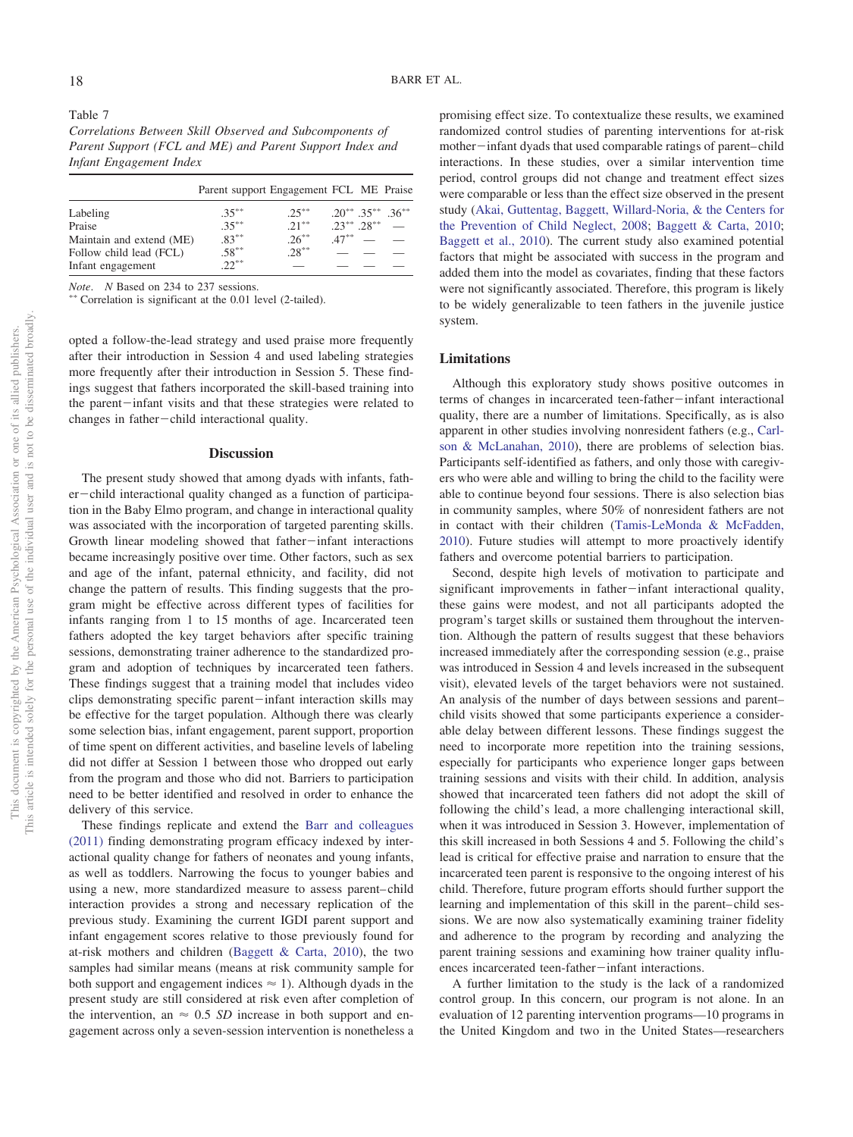<span id="page-8-0"></span>Table 7 *Correlations Between Skill Observed and Subcomponents of Parent Support (FCL and ME) and Parent Support Index and Infant Engagement Index*

|                          | Parent support Engagement FCL ME Praise |           |        |                          |                                  |
|--------------------------|-----------------------------------------|-----------|--------|--------------------------|----------------------------------|
| Labeling                 | $.35***$                                | $25^{**}$ |        |                          | $.20^{**}$ $.35^{**}$ $.36^{**}$ |
| Praise                   | $.35***$                                | $21***$   |        | $23***$ 28 <sup>**</sup> |                                  |
| Maintain and extend (ME) | $.83***$                                | $.26***$  | $47**$ |                          |                                  |
| Follow child lead (FCL)  | $.58***$                                | $.28***$  |        |                          |                                  |
| Infant engagement        | $22**$                                  |           |        |                          |                                  |

*Note. N* Based on 234 to 237 sessions.<br>
<sup>\*\*</sup> Correlation is significant at the 0.01 level (2-tailed).

opted a follow-the-lead strategy and used praise more frequently after their introduction in Session 4 and used labeling strategies more frequently after their introduction in Session 5. These findings suggest that fathers incorporated the skill-based training into the parent-infant visits and that these strategies were related to changes in father-child interactional quality.

## **Discussion**

The present study showed that among dyads with infants, fath $er$ -child interactional quality changed as a function of participation in the Baby Elmo program, and change in interactional quality was associated with the incorporation of targeted parenting skills. Growth linear modeling showed that father-infant interactions became increasingly positive over time. Other factors, such as sex and age of the infant, paternal ethnicity, and facility, did not change the pattern of results. This finding suggests that the program might be effective across different types of facilities for infants ranging from 1 to 15 months of age. Incarcerated teen fathers adopted the key target behaviors after specific training sessions, demonstrating trainer adherence to the standardized program and adoption of techniques by incarcerated teen fathers. These findings suggest that a training model that includes video clips demonstrating specific parent-infant interaction skills may be effective for the target population. Although there was clearly some selection bias, infant engagement, parent support, proportion of time spent on different activities, and baseline levels of labeling did not differ at Session 1 between those who dropped out early from the program and those who did not. Barriers to participation need to be better identified and resolved in order to enhance the delivery of this service.

These findings replicate and extend the [Barr and colleagues](#page-9-4) [\(2011\)](#page-9-4) finding demonstrating program efficacy indexed by interactional quality change for fathers of neonates and young infants, as well as toddlers. Narrowing the focus to younger babies and using a new, more standardized measure to assess parent– child interaction provides a strong and necessary replication of the previous study. Examining the current IGDI parent support and infant engagement scores relative to those previously found for at-risk mothers and children [\(Baggett & Carta, 2010\)](#page-9-9), the two samples had similar means (means at risk community sample for both support and engagement indices  $\approx$  1). Although dyads in the present study are still considered at risk even after completion of the intervention, an  $\approx 0.5$  *SD* increase in both support and engagement across only a seven-session intervention is nonetheless a

promising effect size. To contextualize these results, we examined randomized control studies of parenting interventions for at-risk mother-infant dyads that used comparable ratings of parent–child interactions. In these studies, over a similar intervention time period, control groups did not change and treatment effect sizes were comparable or less than the effect size observed in the present study [\(Akai, Guttentag, Baggett, Willard-Noria, & the Centers for](#page-9-10) [the Prevention of Child Neglect, 2008;](#page-9-10) [Baggett & Carta, 2010;](#page-9-9) [Baggett et al., 2010\)](#page-9-11). The current study also examined potential factors that might be associated with success in the program and added them into the model as covariates, finding that these factors were not significantly associated. Therefore, this program is likely to be widely generalizable to teen fathers in the juvenile justice system.

## **Limitations**

Although this exploratory study shows positive outcomes in terms of changes in incarcerated teen-father-infant interactional quality, there are a number of limitations. Specifically, as is also apparent in other studies involving nonresident fathers (e.g., [Carl](#page-10-1)[son & McLanahan, 2010\)](#page-10-1), there are problems of selection bias. Participants self-identified as fathers, and only those with caregivers who were able and willing to bring the child to the facility were able to continue beyond four sessions. There is also selection bias in community samples, where 50% of nonresident fathers are not in contact with their children [\(Tamis-LeMonda & McFadden,](#page-11-6) [2010\)](#page-11-6). Future studies will attempt to more proactively identify fathers and overcome potential barriers to participation.

Second, despite high levels of motivation to participate and significant improvements in father-infant interactional quality, these gains were modest, and not all participants adopted the program's target skills or sustained them throughout the intervention. Although the pattern of results suggest that these behaviors increased immediately after the corresponding session (e.g., praise was introduced in Session 4 and levels increased in the subsequent visit), elevated levels of the target behaviors were not sustained. An analysis of the number of days between sessions and parent– child visits showed that some participants experience a considerable delay between different lessons. These findings suggest the need to incorporate more repetition into the training sessions, especially for participants who experience longer gaps between training sessions and visits with their child. In addition, analysis showed that incarcerated teen fathers did not adopt the skill of following the child's lead, a more challenging interactional skill, when it was introduced in Session 3. However, implementation of this skill increased in both Sessions 4 and 5. Following the child's lead is critical for effective praise and narration to ensure that the incarcerated teen parent is responsive to the ongoing interest of his child. Therefore, future program efforts should further support the learning and implementation of this skill in the parent– child sessions. We are now also systematically examining trainer fidelity and adherence to the program by recording and analyzing the parent training sessions and examining how trainer quality influences incarcerated teen-father-infant interactions.

A further limitation to the study is the lack of a randomized control group. In this concern, our program is not alone. In an evaluation of 12 parenting intervention programs—10 programs in the United Kingdom and two in the United States—researchers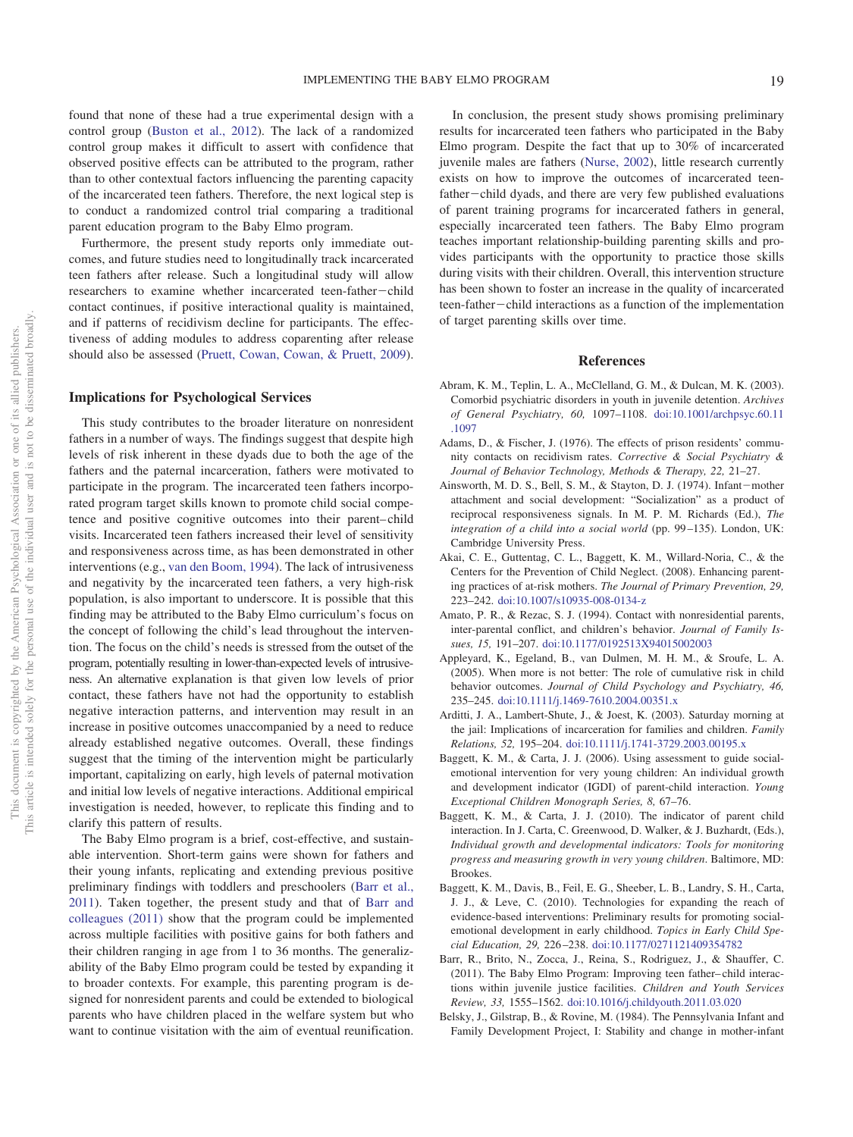found that none of these had a true experimental design with a control group [\(Buston et al., 2012\)](#page-10-21). The lack of a randomized control group makes it difficult to assert with confidence that observed positive effects can be attributed to the program, rather than to other contextual factors influencing the parenting capacity of the incarcerated teen fathers. Therefore, the next logical step is to conduct a randomized control trial comparing a traditional parent education program to the Baby Elmo program.

Furthermore, the present study reports only immediate outcomes, and future studies need to longitudinally track incarcerated teen fathers after release. Such a longitudinal study will allow researchers to examine whether incarcerated teen-father-child contact continues, if positive interactional quality is maintained, and if patterns of recidivism decline for participants. The effectiveness of adding modules to address coparenting after release should also be assessed [\(Pruett, Cowan, Cowan, & Pruett, 2009\)](#page-11-27).

## **Implications for Psychological Services**

This study contributes to the broader literature on nonresident fathers in a number of ways. The findings suggest that despite high levels of risk inherent in these dyads due to both the age of the fathers and the paternal incarceration, fathers were motivated to participate in the program. The incarcerated teen fathers incorporated program target skills known to promote child social competence and positive cognitive outcomes into their parent– child visits. Incarcerated teen fathers increased their level of sensitivity and responsiveness across time, as has been demonstrated in other interventions (e.g., [van den Boom, 1994\)](#page-11-25). The lack of intrusiveness and negativity by the incarcerated teen fathers, a very high-risk population, is also important to underscore. It is possible that this finding may be attributed to the Baby Elmo curriculum's focus on the concept of following the child's lead throughout the intervention. The focus on the child's needs is stressed from the outset of the program, potentially resulting in lower-than-expected levels of intrusiveness. An alternative explanation is that given low levels of prior contact, these fathers have not had the opportunity to establish negative interaction patterns, and intervention may result in an increase in positive outcomes unaccompanied by a need to reduce already established negative outcomes. Overall, these findings suggest that the timing of the intervention might be particularly important, capitalizing on early, high levels of paternal motivation and initial low levels of negative interactions. Additional empirical investigation is needed, however, to replicate this finding and to clarify this pattern of results.

The Baby Elmo program is a brief, cost-effective, and sustainable intervention. Short-term gains were shown for fathers and their young infants, replicating and extending previous positive preliminary findings with toddlers and preschoolers [\(Barr et al.,](#page-9-4) [2011\)](#page-9-4). Taken together, the present study and that of [Barr and](#page-9-4) [colleagues \(2011\)](#page-9-4) show that the program could be implemented across multiple facilities with positive gains for both fathers and their children ranging in age from 1 to 36 months. The generalizability of the Baby Elmo program could be tested by expanding it to broader contexts. For example, this parenting program is designed for nonresident parents and could be extended to biological parents who have children placed in the welfare system but who want to continue visitation with the aim of eventual reunification.

In conclusion, the present study shows promising preliminary results for incarcerated teen fathers who participated in the Baby Elmo program. Despite the fact that up to 30% of incarcerated juvenile males are fathers [\(Nurse, 2002\)](#page-10-17), little research currently exists on how to improve the outcomes of incarcerated teenfather-child dyads, and there are very few published evaluations of parent training programs for incarcerated fathers in general, especially incarcerated teen fathers. The Baby Elmo program teaches important relationship-building parenting skills and provides participants with the opportunity to practice those skills during visits with their children. Overall, this intervention structure has been shown to foster an increase in the quality of incarcerated teen-father-child interactions as a function of the implementation of target parenting skills over time.

#### **References**

- <span id="page-9-2"></span>Abram, K. M., Teplin, L. A., McClelland, G. M., & Dulcan, M. K. (2003). Comorbid psychiatric disorders in youth in juvenile detention. *Archives of General Psychiatry, 60,* 1097–1108. [doi:10.1001/archpsyc.60.11](http://dx.doi.org/10.1001/archpsyc.60.11.1097) [.1097](http://dx.doi.org/10.1001/archpsyc.60.11.1097)
- <span id="page-9-1"></span>Adams, D., & Fischer, J. (1976). The effects of prison residents' community contacts on recidivism rates. *Corrective & Social Psychiatry & Journal of Behavior Technology, Methods & Therapy, 22,* 21–27.
- <span id="page-9-5"></span>Ainsworth, M. D. S., Bell, S. M., & Stayton, D. J. (1974). Infant-mother attachment and social development: "Socialization" as a product of reciprocal responsiveness signals. In M. P. M. Richards (Ed.), *The integration of a child into a social world* (pp. 99 –135). London, UK: Cambridge University Press.
- <span id="page-9-10"></span>Akai, C. E., Guttentag, C. L., Baggett, K. M., Willard-Noria, C., & the Centers for the Prevention of Child Neglect. (2008). Enhancing parenting practices of at-risk mothers. *The Journal of Primary Prevention, 29,* 223–242. [doi:10.1007/s10935-008-0134-z](http://dx.doi.org/10.1007/s10935-008-0134-z)
- <span id="page-9-0"></span>Amato, P. R., & Rezac, S. J. (1994). Contact with nonresidential parents, inter-parental conflict, and children's behavior. *Journal of Family Issues, 15,* 191–207. [doi:10.1177/0192513X94015002003](http://dx.doi.org/10.1177/0192513X94015002003)
- <span id="page-9-7"></span>Appleyard, K., Egeland, B., van Dulmen, M. H. M., & Sroufe, L. A. (2005). When more is not better: The role of cumulative risk in child behavior outcomes. *Journal of Child Psychology and Psychiatry, 46,* 235–245. [doi:10.1111/j.1469-7610.2004.00351.x](http://dx.doi.org/10.1111/j.1469-7610.2004.00351.x)
- <span id="page-9-3"></span>Arditti, J. A., Lambert-Shute, J., & Joest, K. (2003). Saturday morning at the jail: Implications of incarceration for families and children. *Family Relations, 52,* 195–204. [doi:10.1111/j.1741-3729.2003.00195.x](http://dx.doi.org/10.1111/j.1741-3729.2003.00195.x)
- <span id="page-9-6"></span>Baggett, K. M., & Carta, J. J. (2006). Using assessment to guide socialemotional intervention for very young children: An individual growth and development indicator (IGDI) of parent-child interaction. *Young Exceptional Children Monograph Series, 8,* 67–76.
- <span id="page-9-9"></span>Baggett, K. M., & Carta, J. J. (2010). The indicator of parent child interaction. In J. Carta, C. Greenwood, D. Walker, & J. Buzhardt, (Eds.), *Individual growth and developmental indicators: Tools for monitoring progress and measuring growth in very young children*. Baltimore, MD: Brookes.
- <span id="page-9-11"></span>Baggett, K. M., Davis, B., Feil, E. G., Sheeber, L. B., Landry, S. H., Carta, J. J., & Leve, C. (2010). Technologies for expanding the reach of evidence-based interventions: Preliminary results for promoting socialemotional development in early childhood. *Topics in Early Child Special Education, 29,* 226 –238. [doi:10.1177/0271121409354782](http://dx.doi.org/10.1177/0271121409354782)
- <span id="page-9-4"></span>Barr, R., Brito, N., Zocca, J., Reina, S., Rodriguez, J., & Shauffer, C. (2011). The Baby Elmo Program: Improving teen father– child interactions within juvenile justice facilities. *Children and Youth Services Review, 33,* 1555–1562. [doi:10.1016/j.childyouth.2011.03.020](http://dx.doi.org/10.1016/j.childyouth.2011.03.020)
- <span id="page-9-8"></span>Belsky, J., Gilstrap, B., & Rovine, M. (1984). The Pennsylvania Infant and Family Development Project, I: Stability and change in mother-infant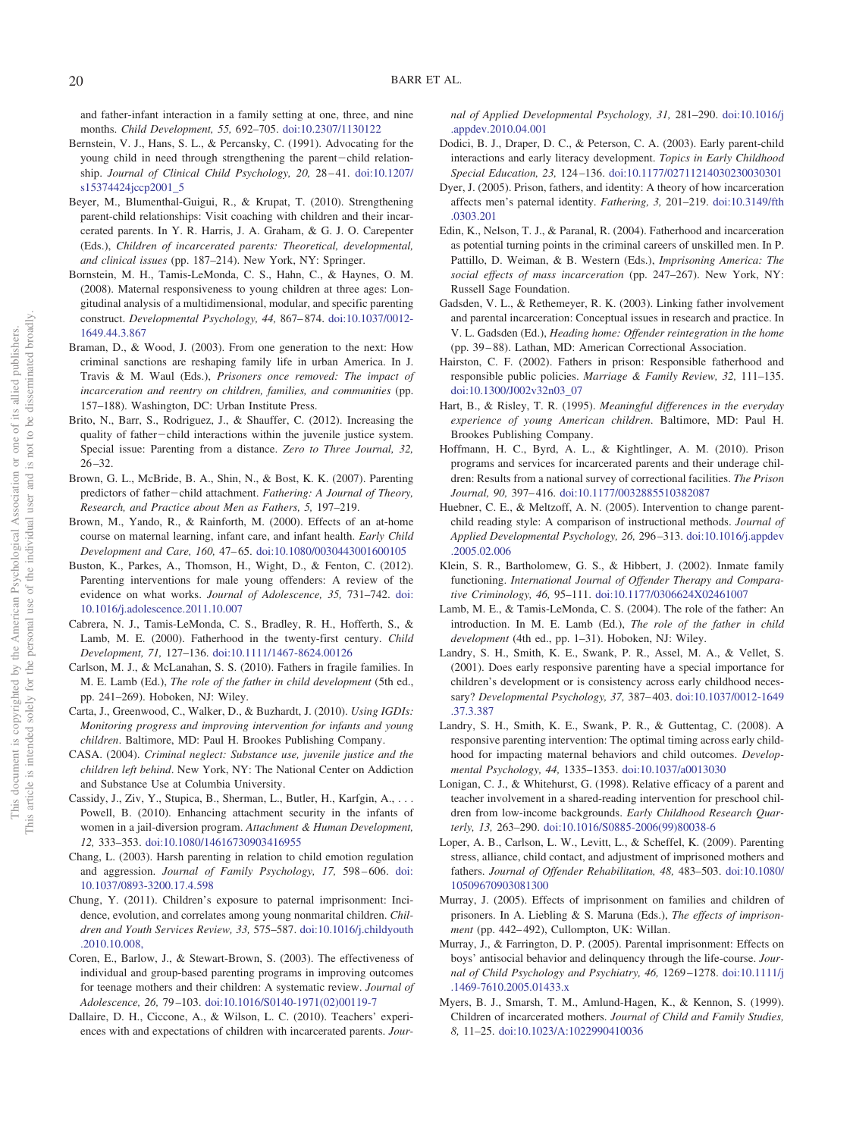<span id="page-10-17"></span>and father-infant interaction in a family setting at one, three, and nine months. *Child Development, 55,* 692–705. [doi:10.2307/1130122](http://dx.doi.org/10.2307/1130122)

- <span id="page-10-26"></span>Bernstein, V. J., Hans, S. L., & Percansky, C. (1991). Advocating for the young child in need through strengthening the parent-child relationship. *Journal of Clinical Child Psychology, 20, 28-41.* [doi:10.1207/](http://dx.doi.org/10.1207/s15374424jccp2001_5) [s15374424jccp2001\\_5](http://dx.doi.org/10.1207/s15374424jccp2001_5)
- <span id="page-10-18"></span>Beyer, M., Blumenthal-Guigui, R., & Krupat, T. (2010). Strengthening parent-child relationships: Visit coaching with children and their incarcerated parents. In Y. R. Harris, J. A. Graham, & G. J. O. Carepenter (Eds.), *Children of incarcerated parents: Theoretical, developmental, and clinical issues* (pp. 187–214). New York, NY: Springer.
- <span id="page-10-27"></span>Bornstein, M. H., Tamis-LeMonda, C. S., Hahn, C., & Haynes, O. M. (2008). Maternal responsiveness to young children at three ages: Longitudinal analysis of a multidimensional, modular, and specific parenting construct. *Developmental Psychology, 44,* 867– 874. [doi:10.1037/0012-](http://dx.doi.org/10.1037/0012-1649.44.3.867) [1649.44.3.867](http://dx.doi.org/10.1037/0012-1649.44.3.867)
- <span id="page-10-8"></span>Braman, D., & Wood, J. (2003). From one generation to the next: How criminal sanctions are reshaping family life in urban America. In J. Travis & M. Waul (Eds.), *Prisoners once removed: The impact of incarceration and reentry on children, families, and communities* (pp. 157–188). Washington, DC: Urban Institute Press.
- <span id="page-10-22"></span>Brito, N., Barr, S., Rodriguez, J., & Shauffer, C. (2012). Increasing the quality of father-child interactions within the juvenile justice system. Special issue: Parenting from a distance. *Zero to Three Journal, 32,*  $26 - 32.$
- <span id="page-10-2"></span>Brown, G. L., McBride, B. A., Shin, N., & Bost, K. K. (2007). Parenting predictors of father-child attachment. *Fathering: A Journal of Theory, Research, and Practice about Men as Fathers, 5,* 197–219.
- <span id="page-10-23"></span>Brown, M., Yando, R., & Rainforth, M. (2000). Effects of an at-home course on maternal learning, infant care, and infant health. *Early Child Development and Care, 160,* 47– 65. [doi:10.1080/0030443001600105](http://dx.doi.org/10.1080/0030443001600105)
- <span id="page-10-21"></span>Buston, K., Parkes, A., Thomson, H., Wight, D., & Fenton, C. (2012). Parenting interventions for male young offenders: A review of the evidence on what works. *Journal of Adolescence, 35,* 731–742. [doi:](http://dx.doi.org/10.1016/j.adolescence.2011.10.007) [10.1016/j.adolescence.2011.10.007](http://dx.doi.org/10.1016/j.adolescence.2011.10.007)
- <span id="page-10-0"></span>Cabrera, N. J., Tamis-LeMonda, C. S., Bradley, R. H., Hofferth, S., & Lamb, M. E. (2000). Fatherhood in the twenty-first century. *Child Development, 71,* 127–136. [doi:10.1111/1467-8624.00126](http://dx.doi.org/10.1111/1467-8624.00126)
- <span id="page-10-1"></span>Carlson, M. J., & McLanahan, S. S. (2010). Fathers in fragile families. In M. E. Lamb (Ed.), *The role of the father in child development* (5th ed., pp. 241–269). Hoboken, NJ: Wiley.
- <span id="page-10-31"></span>Carta, J., Greenwood, C., Walker, D., & Buzhardt, J. (2010). *Using IGDIs: Monitoring progress and improving intervention for infants and young children*. Baltimore, MD: Paul H. Brookes Publishing Company.
- <span id="page-10-16"></span>CASA. (2004). *Criminal neglect: Substance use, juvenile justice and the children left behind*. New York, NY: The National Center on Addiction and Substance Use at Columbia University.
- <span id="page-10-10"></span>Cassidy, J., Ziv, Y., Stupica, B., Sherman, L., Butler, H., Karfgin, A.,... Powell, B. (2010). Enhancing attachment security in the infants of women in a jail-diversion program. *Attachment & Human Development, 12,* 333–353. [doi:10.1080/14616730903416955](http://dx.doi.org/10.1080/14616730903416955)
- <span id="page-10-34"></span>Chang, L. (2003). Harsh parenting in relation to child emotion regulation and aggression. *Journal of Family Psychology, 17, 598–606*. [doi:](http://dx.doi.org/10.1037/0893-3200.17.4.598) [10.1037/0893-3200.17.4.598](http://dx.doi.org/10.1037/0893-3200.17.4.598)
- <span id="page-10-11"></span>Chung, Y. (2011). Children's exposure to paternal imprisonment: Incidence, evolution, and correlates among young nonmarital children. *Children and Youth Services Review, 33,* 575–587. [doi:10.1016/j.childyouth](http://dx.doi.org/10.1016/j.childyouth.2010.10.008,) [.2010.10.008,](http://dx.doi.org/10.1016/j.childyouth.2010.10.008,)
- <span id="page-10-24"></span>Coren, E., Barlow, J., & Stewart-Brown, S. (2003). The effectiveness of individual and group-based parenting programs in improving outcomes for teenage mothers and their children: A systematic review. *Journal of Adolescence, 26,* 79 –103. [doi:10.1016/S0140-1971\(02\)00119-7](http://dx.doi.org/10.1016/S0140-1971%2802%2900119-7)
- <span id="page-10-12"></span>Dallaire, D. H., Ciccone, A., & Wilson, L. C. (2010). Teachers' experiences with and expectations of children with incarcerated parents. *Jour-*

*nal of Applied Developmental Psychology, 31,* 281–290. [doi:10.1016/j](http://dx.doi.org/10.1016/j.appdev.2010.04.001) [.appdev.2010.04.001](http://dx.doi.org/10.1016/j.appdev.2010.04.001)

- <span id="page-10-28"></span>Dodici, B. J., Draper, D. C., & Peterson, C. A. (2003). Early parent-child interactions and early literacy development. *Topics in Early Childhood Special Education, 23,* 124 –136. [doi:10.1177/02711214030230030301](http://dx.doi.org/10.1177/02711214030230030301)
- <span id="page-10-9"></span>Dyer, J. (2005). Prison, fathers, and identity: A theory of how incarceration affects men's paternal identity. *Fathering, 3,* 201–219. [doi:10.3149/fth](http://dx.doi.org/10.3149/fth.0303.201) [.0303.201](http://dx.doi.org/10.3149/fth.0303.201)
- <span id="page-10-4"></span>Edin, K., Nelson, T. J., & Paranal, R. (2004). Fatherhood and incarceration as potential turning points in the criminal careers of unskilled men. In P. Pattillo, D. Weiman, & B. Western (Eds.), *Imprisoning America: The social effects of mass incarceration* (pp. 247–267). New York, NY: Russell Sage Foundation.
- <span id="page-10-7"></span>Gadsden, V. L., & Rethemeyer, R. K. (2003). Linking father involvement and parental incarceration: Conceptual issues in research and practice. In V. L. Gadsden (Ed.), *Heading home: Offender reintegration in the home* (pp. 39 – 88). Lathan, MD: American Correctional Association.
- <span id="page-10-6"></span>Hairston, C. F. (2002). Fathers in prison: Responsible fatherhood and responsible public policies. *Marriage & Family Review, 32,* 111–135. [doi:10.1300/J002v32n03\\_07](http://dx.doi.org/10.1300/J002v32n03_07)
- <span id="page-10-30"></span>Hart, B., & Risley, T. R. (1995). *Meaningful differences in the everyday experience of young American children*. Baltimore, MD: Paul H. Brookes Publishing Company.
- <span id="page-10-19"></span>Hoffmann, H. C., Byrd, A. L., & Kightlinger, A. M. (2010). Prison programs and services for incarcerated parents and their underage children: Results from a national survey of correctional facilities. *The Prison Journal, 90,* 397– 416. [doi:10.1177/0032885510382087](http://dx.doi.org/10.1177/0032885510382087)
- <span id="page-10-25"></span>Huebner, C. E., & Meltzoff, A. N. (2005). Intervention to change parentchild reading style: A comparison of instructional methods. *Journal of Applied Developmental Psychology, 26,* 296 –313. [doi:10.1016/j.appdev](http://dx.doi.org/10.1016/j.appdev.2005.02.006) [.2005.02.006](http://dx.doi.org/10.1016/j.appdev.2005.02.006)
- <span id="page-10-5"></span>Klein, S. R., Bartholomew, G. S., & Hibbert, J. (2002). Inmate family functioning. *International Journal of Offender Therapy and Comparative Criminology, 46,* 95–111. [doi:10.1177/0306624X02461007](http://dx.doi.org/10.1177/0306624X02461007)
- <span id="page-10-3"></span>Lamb, M. E., & Tamis-LeMonda, C. S. (2004). The role of the father: An introduction. In M. E. Lamb (Ed.), *The role of the father in child development* (4th ed., pp. 1–31). Hoboken, NJ: Wiley.
- <span id="page-10-32"></span>Landry, S. H., Smith, K. E., Swank, P. R., Assel, M. A., & Vellet, S. (2001). Does early responsive parenting have a special importance for children's development or is consistency across early childhood necessary? *Developmental Psychology, 37,* 387– 403. [doi:10.1037/0012-1649](http://dx.doi.org/10.1037/0012-1649.37.3.387) [.37.3.387](http://dx.doi.org/10.1037/0012-1649.37.3.387)
- <span id="page-10-33"></span>Landry, S. H., Smith, K. E., Swank, P. R., & Guttentag, C. (2008). A responsive parenting intervention: The optimal timing across early childhood for impacting maternal behaviors and child outcomes. *Developmental Psychology, 44,* 1335–1353. [doi:10.1037/a0013030](http://dx.doi.org/10.1037/a0013030)
- <span id="page-10-29"></span>Lonigan, C. J., & Whitehurst, G. (1998). Relative efficacy of a parent and teacher involvement in a shared-reading intervention for preschool children from low-income backgrounds. *Early Childhood Research Quarterly, 13,* 263–290. [doi:10.1016/S0885-2006\(99\)80038-6](http://dx.doi.org/10.1016/S0885-2006%2899%2980038-6)
- <span id="page-10-20"></span>Loper, A. B., Carlson, L. W., Levitt, L., & Scheffel, K. (2009). Parenting stress, alliance, child contact, and adjustment of imprisoned mothers and fathers. *Journal of Offender Rehabilitation, 48,* 483–503. [doi:10.1080/](http://dx.doi.org/10.1080/10509670903081300) [10509670903081300](http://dx.doi.org/10.1080/10509670903081300)
- <span id="page-10-13"></span>Murray, J. (2005). Effects of imprisonment on families and children of prisoners. In A. Liebling & S. Maruna (Eds.), *The effects of imprisonment* (pp. 442– 492), Cullompton, UK: Willan.
- <span id="page-10-14"></span>Murray, J., & Farrington, D. P. (2005). Parental imprisonment: Effects on boys' antisocial behavior and delinquency through the life-course. *Journal of Child Psychology and Psychiatry, 46,* 1269 –1278. [doi:10.1111/j](http://dx.doi.org/10.1111/j.1469-7610.2005.01433.x) [.1469-7610.2005.01433.x](http://dx.doi.org/10.1111/j.1469-7610.2005.01433.x)
- <span id="page-10-15"></span>Myers, B. J., Smarsh, T. M., Amlund-Hagen, K., & Kennon, S. (1999). Children of incarcerated mothers. *Journal of Child and Family Studies, 8,* 11–25. [doi:10.1023/A:1022990410036](http://dx.doi.org/10.1023/A:1022990410036)